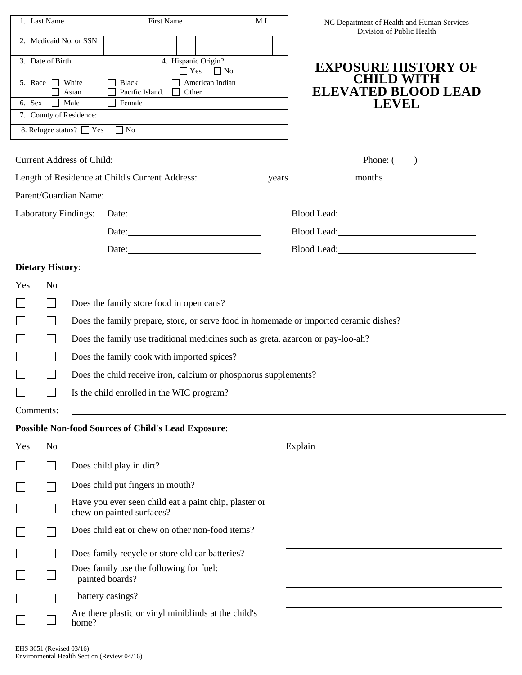| 1. Last Name                                                                                                                                                                                                                   |                |                                                                                       | <b>First Name</b>         |                                                            |  | NC Department of Health and Human Services<br>Division of Public Health                                                                                                                                                        |  |  |  |  |  |  |  |
|--------------------------------------------------------------------------------------------------------------------------------------------------------------------------------------------------------------------------------|----------------|---------------------------------------------------------------------------------------|---------------------------|------------------------------------------------------------|--|--------------------------------------------------------------------------------------------------------------------------------------------------------------------------------------------------------------------------------|--|--|--|--|--|--|--|
|                                                                                                                                                                                                                                |                | 2. Medicaid No. or SSN                                                                |                           |                                                            |  |                                                                                                                                                                                                                                |  |  |  |  |  |  |  |
| 4. Hispanic Origin?<br>3. Date of Birth<br>$\Box$ No                                                                                                                                                                           |                |                                                                                       |                           |                                                            |  | <b>EXPOSURE HISTORY OF</b>                                                                                                                                                                                                     |  |  |  |  |  |  |  |
| 5. Race                                                                                                                                                                                                                        |                | White                                                                                 | <b>Black</b>              | $\Box$ Yes<br>American Indian                              |  | <b>CHILD WITH</b>                                                                                                                                                                                                              |  |  |  |  |  |  |  |
| 6. Sex                                                                                                                                                                                                                         |                | Asian<br>Male                                                                         | Pacific Island.<br>Female | Other                                                      |  | <b>ELEVATED BLOOD LEAD</b>                                                                                                                                                                                                     |  |  |  |  |  |  |  |
|                                                                                                                                                                                                                                |                | 7. County of Residence:                                                               |                           |                                                            |  | <b>LEVEL</b>                                                                                                                                                                                                                   |  |  |  |  |  |  |  |
|                                                                                                                                                                                                                                |                | 8. Refugee status? □ Yes                                                              | $\Box$ No                 |                                                            |  |                                                                                                                                                                                                                                |  |  |  |  |  |  |  |
| Current Address of Child:                                                                                                                                                                                                      |                |                                                                                       |                           |                                                            |  |                                                                                                                                                                                                                                |  |  |  |  |  |  |  |
|                                                                                                                                                                                                                                |                | Phone: $($                                                                            |                           |                                                            |  |                                                                                                                                                                                                                                |  |  |  |  |  |  |  |
|                                                                                                                                                                                                                                |                |                                                                                       |                           |                                                            |  |                                                                                                                                                                                                                                |  |  |  |  |  |  |  |
| Parent/Guardian Name: 1986 and 2008 and 2008 and 2008 and 2008 and 2008 and 2008 and 2008 and 2008 and 2008 and 2008 and 2008 and 2008 and 2008 and 2008 and 2008 and 2008 and 2008 and 2008 and 2008 and 2008 and 2008 and 20 |                |                                                                                       |                           |                                                            |  |                                                                                                                                                                                                                                |  |  |  |  |  |  |  |
| <b>Laboratory Findings:</b><br>Date:                                                                                                                                                                                           |                |                                                                                       |                           |                                                            |  | Blood Lead: Note and Second Lead and Second Lead and Second Lead and Second Lead and Second Lead and Second Lead and Second Lead and Second Lead and Second Lead and Second Lead and Second Lead and Second Lead and Second Le |  |  |  |  |  |  |  |
|                                                                                                                                                                                                                                |                |                                                                                       |                           |                                                            |  | Blood Lead: Next State State State State State State State State State State State State State State State State State State State State State State State State State State State State State State State State State State S |  |  |  |  |  |  |  |
|                                                                                                                                                                                                                                |                |                                                                                       |                           |                                                            |  |                                                                                                                                                                                                                                |  |  |  |  |  |  |  |
| <b>Dietary History:</b>                                                                                                                                                                                                        |                |                                                                                       |                           |                                                            |  |                                                                                                                                                                                                                                |  |  |  |  |  |  |  |
| Yes                                                                                                                                                                                                                            | N <sub>o</sub> |                                                                                       |                           |                                                            |  |                                                                                                                                                                                                                                |  |  |  |  |  |  |  |
|                                                                                                                                                                                                                                | L.             | Does the family store food in open cans?                                              |                           |                                                            |  |                                                                                                                                                                                                                                |  |  |  |  |  |  |  |
|                                                                                                                                                                                                                                |                | Does the family prepare, store, or serve food in homemade or imported ceramic dishes? |                           |                                                            |  |                                                                                                                                                                                                                                |  |  |  |  |  |  |  |
|                                                                                                                                                                                                                                |                | Does the family use traditional medicines such as greta, azarcon or pay-loo-ah?       |                           |                                                            |  |                                                                                                                                                                                                                                |  |  |  |  |  |  |  |
|                                                                                                                                                                                                                                |                | Does the family cook with imported spices?                                            |                           |                                                            |  |                                                                                                                                                                                                                                |  |  |  |  |  |  |  |
|                                                                                                                                                                                                                                |                | Does the child receive iron, calcium or phosphorus supplements?                       |                           |                                                            |  |                                                                                                                                                                                                                                |  |  |  |  |  |  |  |
|                                                                                                                                                                                                                                |                | Is the child enrolled in the WIC program?                                             |                           |                                                            |  |                                                                                                                                                                                                                                |  |  |  |  |  |  |  |
| Comments:                                                                                                                                                                                                                      |                |                                                                                       |                           |                                                            |  |                                                                                                                                                                                                                                |  |  |  |  |  |  |  |
|                                                                                                                                                                                                                                |                |                                                                                       |                           | <b>Possible Non-food Sources of Child's Lead Exposure:</b> |  |                                                                                                                                                                                                                                |  |  |  |  |  |  |  |
| Yes                                                                                                                                                                                                                            | N <sub>o</sub> |                                                                                       |                           |                                                            |  | Explain                                                                                                                                                                                                                        |  |  |  |  |  |  |  |
|                                                                                                                                                                                                                                |                | Does child play in dirt?                                                              |                           |                                                            |  |                                                                                                                                                                                                                                |  |  |  |  |  |  |  |
|                                                                                                                                                                                                                                |                | Does child put fingers in mouth?                                                      |                           |                                                            |  |                                                                                                                                                                                                                                |  |  |  |  |  |  |  |
|                                                                                                                                                                                                                                |                | chew on painted surfaces?                                                             |                           | Have you ever seen child eat a paint chip, plaster or      |  |                                                                                                                                                                                                                                |  |  |  |  |  |  |  |
|                                                                                                                                                                                                                                |                |                                                                                       |                           | Does child eat or chew on other non-food items?            |  |                                                                                                                                                                                                                                |  |  |  |  |  |  |  |
|                                                                                                                                                                                                                                |                |                                                                                       |                           | Does family recycle or store old car batteries?            |  |                                                                                                                                                                                                                                |  |  |  |  |  |  |  |
|                                                                                                                                                                                                                                |                | Does family use the following for fuel:<br>painted boards?                            |                           |                                                            |  |                                                                                                                                                                                                                                |  |  |  |  |  |  |  |
|                                                                                                                                                                                                                                |                | battery casings?                                                                      |                           |                                                            |  |                                                                                                                                                                                                                                |  |  |  |  |  |  |  |
|                                                                                                                                                                                                                                |                | Are there plastic or vinyl miniblinds at the child's<br>home?                         |                           |                                                            |  |                                                                                                                                                                                                                                |  |  |  |  |  |  |  |